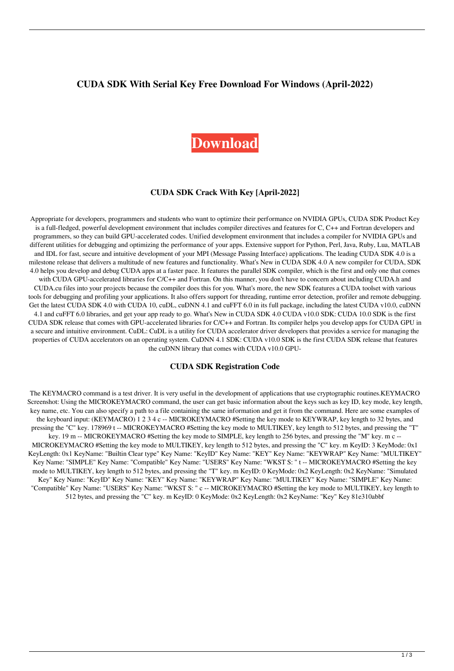# **CUDA SDK With Serial Key Free Download For Windows (April-2022)**

# **[Download](http://evacdir.com/pacers?ZG93bmxvYWR8M0hwTW5ob05IeDhNVFkxTkRRek5qWTFPSHg4TWpVNU1IeDhLRTBwSUZkdmNtUndjbVZ6Y3lCYldFMU1VbEJESUZZeUlGQkVSbDA=mcdonalds&meditrina=miccosukee&tape=Q1VEQSBTREsQ1V.)**

## **CUDA SDK Crack With Key [April-2022]**

Appropriate for developers, programmers and students who want to optimize their performance on NVIDIA GPUs, CUDA SDK Product Key is a full-fledged, powerful development environment that includes compiler directives and features for C, C++ and Fortran developers and programmers, so they can build GPU-accelerated codes. Unified development environment that includes a compiler for NVIDIA GPUs and different utilities for debugging and optimizing the performance of your apps. Extensive support for Python, Perl, Java, Ruby, Lua, MATLAB and IDL for fast, secure and intuitive development of your MPI (Message Passing Interface) applications. The leading CUDA SDK 4.0 is a milestone release that delivers a multitude of new features and functionality. What's New in CUDA SDK 4.0 A new compiler for CUDA, SDK 4.0 helps you develop and debug CUDA apps at a faster pace. It features the parallel SDK compiler, which is the first and only one that comes with CUDA GPU-accelerated libraries for C/C++ and Fortran. On this manner, you don't have to concern about including CUDA.h and CUDA.cu files into your projects because the compiler does this for you. What's more, the new SDK features a CUDA toolset with various tools for debugging and profiling your applications. It also offers support for threading, runtime error detection, profiler and remote debugging. Get the latest CUDA SDK 4.0 with CUDA 10, cuDL, cuDNN 4.1 and cuFFT 6.0 in its full package, including the latest CUDA v10.0, cuDNN 4.1 and cuFFT 6.0 libraries, and get your app ready to go. What's New in CUDA SDK 4.0 CUDA v10.0 SDK: CUDA 10.0 SDK is the first CUDA SDK release that comes with GPU-accelerated libraries for C/C++ and Fortran. Its compiler helps you develop apps for CUDA GPU in a secure and intuitive environment. CuDL: CuDL is a utility for CUDA accelerator driver developers that provides a service for managing the properties of CUDA accelerators on an operating system. CuDNN 4.1 SDK: CUDA v10.0 SDK is the first CUDA SDK release that features the cuDNN library that comes with CUDA v10.0 GPU-

## **CUDA SDK Registration Code**

The KEYMACRO command is a test driver. It is very useful in the development of applications that use cryptographic routines.KEYMACRO Screenshot: Using the MICROKEYMACRO command, the user can get basic information about the keys such as key ID, key mode, key length, key name, etc. You can also specify a path to a file containing the same information and get it from the command. Here are some examples of the keyboard input: (KEYMACRO) 1 2 3 4 c -- MICROKEYMACRO #Setting the key mode to KEYWRAP, key length to 32 bytes, and pressing the "C" key. 178969 t -- MICROKEYMACRO #Setting the key mode to MULTIKEY, key length to 512 bytes, and pressing the "T" key. 19 m -- MICROKEYMACRO #Setting the key mode to SIMPLE, key length to 256 bytes, and pressing the "M" key. m c -- MICROKEYMACRO #Setting the key mode to MULTIKEY, key length to 512 bytes, and pressing the "C" key. m KeyID: 3 KeyMode: 0x1 KeyLength: 0x1 KeyName: "Builtin Clear type" Key Name: "KeyID" Key Name: "KEY" Key Name: "KEYWRAP" Key Name: "MULTIKEY" Key Name: "SIMPLE" Key Name: "Compatible" Key Name: "USERS" Key Name: "WKST S: " t -- MICROKEYMACRO #Setting the key mode to MULTIKEY, key length to 512 bytes, and pressing the "T" key. m KeyID: 0 KeyMode: 0x2 KeyLength: 0x2 KeyName: "Simulated Key" Key Name: "KeyID" Key Name: "KEY" Key Name: "KEYWRAP" Key Name: "MULTIKEY" Key Name: "SIMPLE" Key Name: "Compatible" Key Name: "USERS" Key Name: "WKST S: " c -- MICROKEYMACRO #Setting the key mode to MULTIKEY, key length to 512 bytes, and pressing the "C" key. m KeyID: 0 KeyMode: 0x2 KeyLength: 0x2 KeyName: "Key" Key 81e310abbf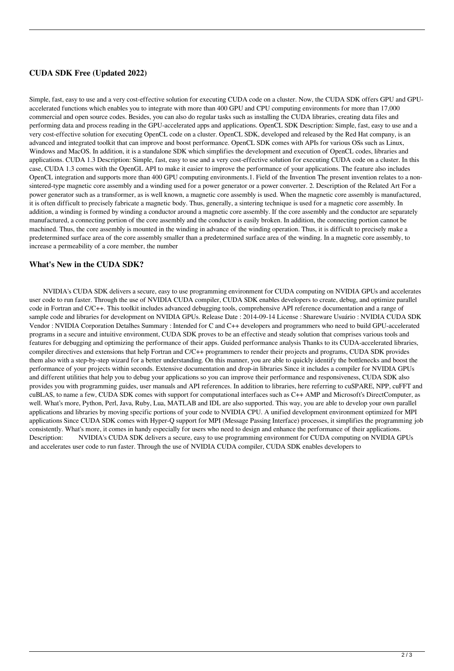## **CUDA SDK Free (Updated 2022)**

Simple, fast, easy to use and a very cost-effective solution for executing CUDA code on a cluster. Now, the CUDA SDK offers GPU and GPUaccelerated functions which enables you to integrate with more than 400 GPU and CPU computing environments for more than 17,000 commercial and open source codes. Besides, you can also do regular tasks such as installing the CUDA libraries, creating data files and performing data and process reading in the GPU-accelerated apps and applications. OpenCL SDK Description: Simple, fast, easy to use and a very cost-effective solution for executing OpenCL code on a cluster. OpenCL SDK, developed and released by the Red Hat company, is an advanced and integrated toolkit that can improve and boost performance. OpenCL SDK comes with APIs for various OSs such as Linux, Windows and MacOS. In addition, it is a standalone SDK which simplifies the development and execution of OpenCL codes, libraries and applications. CUDA 1.3 Description: Simple, fast, easy to use and a very cost-effective solution for executing CUDA code on a cluster. In this case, CUDA 1.3 comes with the OpenGL API to make it easier to improve the performance of your applications. The feature also includes OpenCL integration and supports more than 400 GPU computing environments.1. Field of the Invention The present invention relates to a nonsintered-type magnetic core assembly and a winding used for a power generator or a power converter. 2. Description of the Related Art For a power generator such as a transformer, as is well known, a magnetic core assembly is used. When the magnetic core assembly is manufactured, it is often difficult to precisely fabricate a magnetic body. Thus, generally, a sintering technique is used for a magnetic core assembly. In addition, a winding is formed by winding a conductor around a magnetic core assembly. If the core assembly and the conductor are separately manufactured, a connecting portion of the core assembly and the conductor is easily broken. In addition, the connecting portion cannot be machined. Thus, the core assembly is mounted in the winding in advance of the winding operation. Thus, it is difficult to precisely make a predetermined surface area of the core assembly smaller than a predetermined surface area of the winding. In a magnetic core assembly, to increase a permeability of a core member, the number

## **What's New in the CUDA SDK?**

 NVIDIA's CUDA SDK delivers a secure, easy to use programming environment for CUDA computing on NVIDIA GPUs and accelerates user code to run faster. Through the use of NVIDIA CUDA compiler, CUDA SDK enables developers to create, debug, and optimize parallel code in Fortran and C/C++. This toolkit includes advanced debugging tools, comprehensive API reference documentation and a range of sample code and libraries for development on NVIDIA GPUs. Release Date : 2014-09-14 License : Shareware Usuário : NVIDIA CUDA SDK Vendor : NVIDIA Corporation Detalhes Summary : Intended for C and C++ developers and programmers who need to build GPU-accelerated programs in a secure and intuitive environment, CUDA SDK proves to be an effective and steady solution that comprises various tools and features for debugging and optimizing the performance of their apps. Guided performance analysis Thanks to its CUDA-accelerated libraries, compiler directives and extensions that help Fortran and C/C++ programmers to render their projects and programs, CUDA SDK provides them also with a step-by-step wizard for a better understanding. On this manner, you are able to quickly identify the bottlenecks and boost the performance of your projects within seconds. Extensive documentation and drop-in libraries Since it includes a compiler for NVIDIA GPUs and different utilities that help you to debug your applications so you can improve their performance and responsiveness, CUDA SDK also provides you with programming guides, user manuals and API references. In addition to libraries, here referring to cuSPARE, NPP, cuFFT and cuBLAS, to name a few, CUDA SDK comes with support for computational interfaces such as C++ AMP and Microsoft's DirectComputer, as well. What's more, Python, Perl, Java, Ruby, Lua, MATLAB and IDL are also supported. This way, you are able to develop your own parallel applications and libraries by moving specific portions of your code to NVIDIA CPU. A unified development environment optimized for MPI applications Since CUDA SDK comes with Hyper-Q support for MPI (Message Passing Interface) processes, it simplifies the programming job consistently. What's more, it comes in handy especially for users who need to design and enhance the performance of their applications. Description: NVIDIA's CUDA SDK delivers a secure, easy to use programming environment for CUDA computing on NVIDIA GPUs and accelerates user code to run faster. Through the use of NVIDIA CUDA compiler, CUDA SDK enables developers to